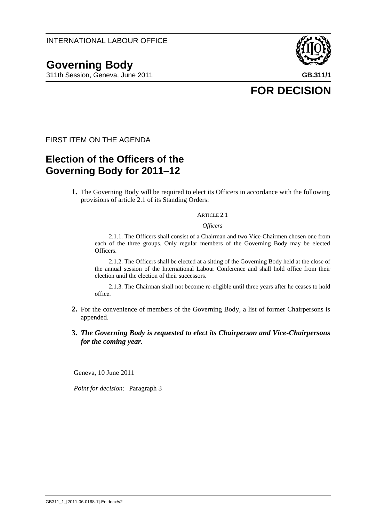# **Governing Body**

311th Session, Geneva, June 2011 **GB.311/1**



**FOR DECISION**

FIRST ITEM ON THE AGENDA

### **Election of the Officers of the Governing Body for 2011–12**

**1.** The Governing Body will be required to elect its Officers in accordance with the following provisions of article 2.1 of its Standing Orders:

#### ARTICLE 2.1

*Officers*

2.1.1. The Officers shall consist of a Chairman and two Vice-Chairmen chosen one from each of the three groups. Only regular members of the Governing Body may be elected Officers.

2.1.2. The Officers shall be elected at a sitting of the Governing Body held at the close of the annual session of the International Labour Conference and shall hold office from their election until the election of their successors.

2.1.3. The Chairman shall not become re-eligible until three years after he ceases to hold office.

- **2.** For the convenience of members of the Governing Body, a list of former Chairpersons is appended.
- **3.** *The Governing Body is requested to elect its Chairperson and Vice-Chairpersons for the coming year.*

Geneva, 10 June 2011

*Point for decision:* Paragraph 3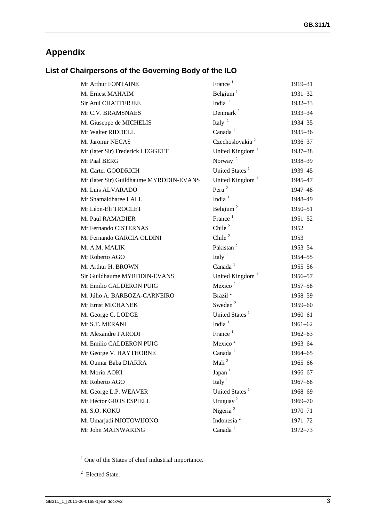## **Appendix**

### **List of Chairpersons of the Governing Body of the ILO**

| Mr Arthur FONTAINE                      | France <sup>1</sup>         | 1919-31     |
|-----------------------------------------|-----------------------------|-------------|
| Mr Ernest MAHAIM                        | Belgium $1$                 | 1931-32     |
| <b>Sir Atul CHATTERJEE</b>              | India $1$                   | 1932-33     |
| Mr C.V. BRAMSNAES                       | Denmark <sup>2</sup>        | 1933–34     |
| Mr Giuseppe de MICHELIS                 | Italy $1$                   | 1934-35     |
| Mr Walter RIDDELL                       | Canada <sup>1</sup>         | 1935-36     |
| Mr Jaromir NECAS                        | Czechoslovakia <sup>2</sup> | 1936-37     |
| Mr (later Sir) Frederick LEGGETT        | United Kingdom <sup>1</sup> | 1937-38     |
| Mr Paal BERG                            | Norway <sup>2</sup>         | 1938-39     |
| Mr Carter GOODRICH                      | United States <sup>1</sup>  | 1939-45     |
| Mr (later Sir) Guildhaume MYRDDIN-EVANS | United Kingdom <sup>1</sup> | 1945–47     |
| Mr Luis ALVARADO                        | Peru $2$                    | 1947-48     |
| Mr Shamaldharee LALL                    | India $1$                   | 1948-49     |
| Mr Léon-Eli TROCLET                     | Belgium <sup>2</sup>        | 1950-51     |
| Mr Paul RAMADIER                        | France <sup>1</sup>         | $1951 - 52$ |
| Mr Fernando CISTERNAS                   | Chile $^2$                  | 1952        |
| Mr Fernando GARCIA OLDINI               | Chile $^2$                  | 1953        |
| Mr A.M. MALIK                           | Pakistan <sup>2</sup>       | 1953-54     |
| Mr Roberto AGO                          | Italy $1$                   | 1954-55     |
| Mr Arthur H. BROWN                      | Canada <sup>1</sup>         | 1955–56     |
| Sir Guildhaume MYRDDIN-EVANS            | United Kingdom <sup>1</sup> | 1956–57     |
| Mr Emilio CALDERON PUIG                 | Mexico $2$                  | 1957-58     |
| Mr Júlio A. BARBOZA-CARNEIRO            | Brazil <sup>2</sup>         | 1958-59     |
| Mr Ernst MICHANEK                       | Sweden <sup>2</sup>         | 1959-60     |
| Mr George C. LODGE                      | United States <sup>1</sup>  | 1960–61     |
| Mr S.T. MERANI                          | India $1$                   | $1961 - 62$ |
| Mr Alexandre PARODI                     | France $1$                  | $1962 - 63$ |
| Mr Emilio CALDERON PUIG                 | Mexico <sup>2</sup>         | 1963-64     |
| Mr George V. HAYTHORNE                  | Canada <sup>1</sup>         | 1964-65     |
| Mr Oumar Baba DIARRA                    | Mali <sup>2</sup>           | 1965-66     |
| Mr Morio AOKI                           | Japan $1$                   | 1966-67     |
| Mr Roberto AGO                          | Italy $1$                   | 1967-68     |
| Mr George L.P. WEAVER                   | United States <sup>1</sup>  | 1968-69     |
| Mr Héctor GROS ESPIELL                  | Uruguay <sup>2</sup>        | 1969-70     |
| Mr S.O. KOKU                            | Nigeria <sup>2</sup>        | 1970–71     |
| Mr Umarjadi NJOTOWIJONO                 | Indonesia <sup>2</sup>      | 1971-72     |
| Mr John MAINWARING                      | Canada <sup>1</sup>         | 1972-73     |
|                                         |                             |             |

<sup>1</sup> One of the States of chief industrial importance.

<sup>2</sup> Elected State.